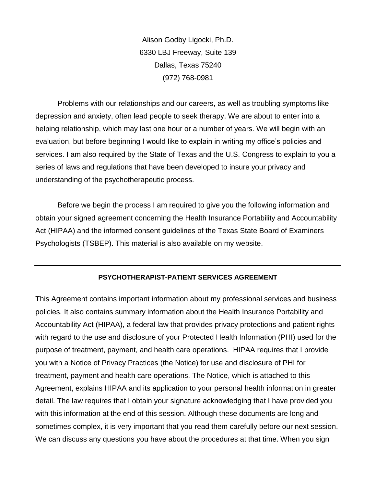Alison Godby Ligocki, Ph.D. 6330 LBJ Freeway, Suite 139 Dallas, Texas 75240 (972) 768-0981

Problems with our relationships and our careers, as well as troubling symptoms like depression and anxiety, often lead people to seek therapy. We are about to enter into a helping relationship, which may last one hour or a number of years. We will begin with an evaluation, but before beginning I would like to explain in writing my office's policies and services. I am also required by the State of Texas and the U.S. Congress to explain to you a series of laws and regulations that have been developed to insure your privacy and understanding of the psychotherapeutic process.

Before we begin the process I am required to give you the following information and obtain your signed agreement concerning the Health Insurance Portability and Accountability Act (HIPAA) and the informed consent guidelines of the Texas State Board of Examiners Psychologists (TSBEP). This material is also available on my website.

#### **PSYCHOTHERAPIST-PATIENT SERVICES AGREEMENT**

This Agreement contains important information about my professional services and business policies. It also contains summary information about the Health Insurance Portability and Accountability Act (HIPAA), a federal law that provides privacy protections and patient rights with regard to the use and disclosure of your Protected Health Information (PHI) used for the purpose of treatment, payment, and health care operations. HIPAA requires that I provide you with a Notice of Privacy Practices (the Notice) for use and disclosure of PHI for treatment, payment and health care operations. The Notice, which is attached to this Agreement, explains HIPAA and its application to your personal health information in greater detail. The law requires that I obtain your signature acknowledging that I have provided you with this information at the end of this session. Although these documents are long and sometimes complex, it is very important that you read them carefully before our next session. We can discuss any questions you have about the procedures at that time. When you sign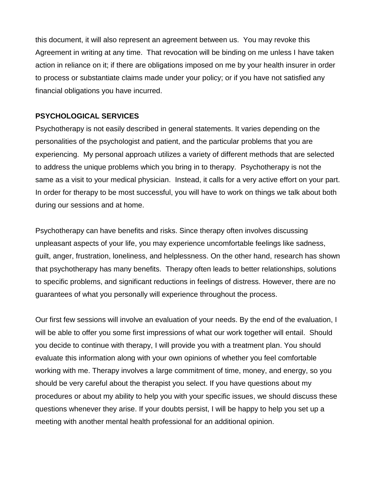this document, it will also represent an agreement between us. You may revoke this Agreement in writing at any time. That revocation will be binding on me unless I have taken action in reliance on it; if there are obligations imposed on me by your health insurer in order to process or substantiate claims made under your policy; or if you have not satisfied any financial obligations you have incurred.

## **PSYCHOLOGICAL SERVICES**

Psychotherapy is not easily described in general statements. It varies depending on the personalities of the psychologist and patient, and the particular problems that you are experiencing. My personal approach utilizes a variety of different methods that are selected to address the unique problems which you bring in to therapy. Psychotherapy is not the same as a visit to your medical physician. Instead, it calls for a very active effort on your part. In order for therapy to be most successful, you will have to work on things we talk about both during our sessions and at home.

Psychotherapy can have benefits and risks. Since therapy often involves discussing unpleasant aspects of your life, you may experience uncomfortable feelings like sadness, guilt, anger, frustration, loneliness, and helplessness. On the other hand, research has shown that psychotherapy has many benefits. Therapy often leads to better relationships, solutions to specific problems, and significant reductions in feelings of distress. However, there are no guarantees of what you personally will experience throughout the process.

Our first few sessions will involve an evaluation of your needs. By the end of the evaluation, I will be able to offer you some first impressions of what our work together will entail. Should you decide to continue with therapy, I will provide you with a treatment plan. You should evaluate this information along with your own opinions of whether you feel comfortable working with me. Therapy involves a large commitment of time, money, and energy, so you should be very careful about the therapist you select. If you have questions about my procedures or about my ability to help you with your specific issues, we should discuss these questions whenever they arise. If your doubts persist, I will be happy to help you set up a meeting with another mental health professional for an additional opinion.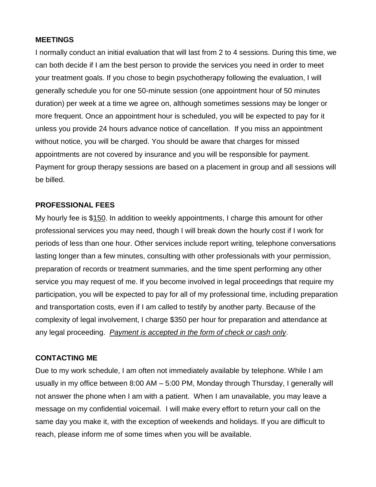#### **MEETINGS**

I normally conduct an initial evaluation that will last from 2 to 4 sessions. During this time, we can both decide if I am the best person to provide the services you need in order to meet your treatment goals. If you chose to begin psychotherapy following the evaluation, I will generally schedule you for one 50-minute session (one appointment hour of 50 minutes duration) per week at a time we agree on, although sometimes sessions may be longer or more frequent. Once an appointment hour is scheduled, you will be expected to pay for it unless you provide 24 hours advance notice of cancellation. If you miss an appointment without notice, you will be charged. You should be aware that charges for missed appointments are not covered by insurance and you will be responsible for payment. Payment for group therapy sessions are based on a placement in group and all sessions will be billed.

#### **PROFESSIONAL FEES**

My hourly fee is \$150. In addition to weekly appointments, I charge this amount for other professional services you may need, though I will break down the hourly cost if I work for periods of less than one hour. Other services include report writing, telephone conversations lasting longer than a few minutes, consulting with other professionals with your permission, preparation of records or treatment summaries, and the time spent performing any other service you may request of me. If you become involved in legal proceedings that require my participation, you will be expected to pay for all of my professional time, including preparation and transportation costs, even if I am called to testify by another party. Because of the complexity of legal involvement, I charge \$350 per hour for preparation and attendance at any legal proceeding. *Payment is accepted in the form of check or cash only*.

#### **CONTACTING ME**

Due to my work schedule, I am often not immediately available by telephone. While I am usually in my office between 8:00 AM – 5:00 PM, Monday through Thursday, I generally will not answer the phone when I am with a patient. When I am unavailable, you may leave a message on my confidential voicemail. I will make every effort to return your call on the same day you make it, with the exception of weekends and holidays. If you are difficult to reach, please inform me of some times when you will be available.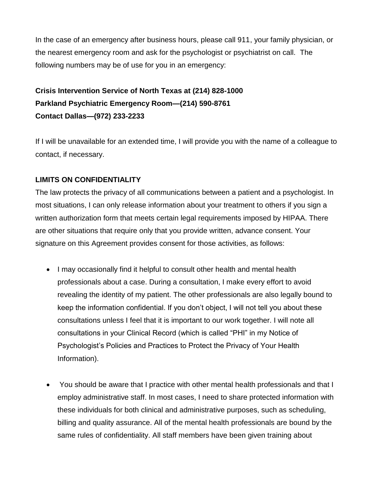In the case of an emergency after business hours, please call 911, your family physician, or the nearest emergency room and ask for the psychologist or psychiatrist on call. The following numbers may be of use for you in an emergency:

# **Crisis Intervention Service of North Texas at (214) 828-1000 Parkland Psychiatric Emergency Room—(214) 590-8761 Contact Dallas—(972) 233-2233**

If I will be unavailable for an extended time, I will provide you with the name of a colleague to contact, if necessary.

## **LIMITS ON CONFIDENTIALITY**

The law protects the privacy of all communications between a patient and a psychologist. In most situations, I can only release information about your treatment to others if you sign a written authorization form that meets certain legal requirements imposed by HIPAA. There are other situations that require only that you provide written, advance consent. Your signature on this Agreement provides consent for those activities, as follows:

- I may occasionally find it helpful to consult other health and mental health professionals about a case. During a consultation, I make every effort to avoid revealing the identity of my patient. The other professionals are also legally bound to keep the information confidential. If you don't object, I will not tell you about these consultations unless I feel that it is important to our work together. I will note all consultations in your Clinical Record (which is called "PHI" in my Notice of Psychologist's Policies and Practices to Protect the Privacy of Your Health Information).
- You should be aware that I practice with other mental health professionals and that I employ administrative staff. In most cases, I need to share protected information with these individuals for both clinical and administrative purposes, such as scheduling, billing and quality assurance. All of the mental health professionals are bound by the same rules of confidentiality. All staff members have been given training about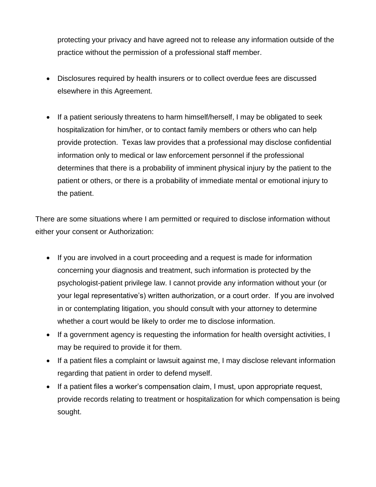protecting your privacy and have agreed not to release any information outside of the practice without the permission of a professional staff member.

- Disclosures required by health insurers or to collect overdue fees are discussed elsewhere in this Agreement.
- If a patient seriously threatens to harm himself/herself, I may be obligated to seek hospitalization for him/her, or to contact family members or others who can help provide protection. Texas law provides that a professional may disclose confidential information only to medical or law enforcement personnel if the professional determines that there is a probability of imminent physical injury by the patient to the patient or others, or there is a probability of immediate mental or emotional injury to the patient.

There are some situations where I am permitted or required to disclose information without either your consent or Authorization:

- If you are involved in a court proceeding and a request is made for information concerning your diagnosis and treatment, such information is protected by the psychologist-patient privilege law. I cannot provide any information without your (or your legal representative's) written authorization, or a court order. If you are involved in or contemplating litigation, you should consult with your attorney to determine whether a court would be likely to order me to disclose information.
- If a government agency is requesting the information for health oversight activities, I may be required to provide it for them.
- If a patient files a complaint or lawsuit against me, I may disclose relevant information regarding that patient in order to defend myself.
- If a patient files a worker's compensation claim, I must, upon appropriate request, provide records relating to treatment or hospitalization for which compensation is being sought.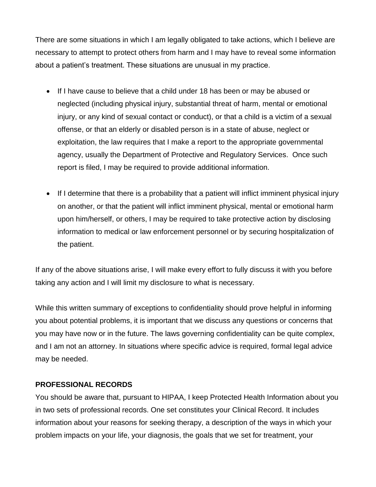There are some situations in which I am legally obligated to take actions, which I believe are necessary to attempt to protect others from harm and I may have to reveal some information about a patient's treatment. These situations are unusual in my practice.

- If I have cause to believe that a child under 18 has been or may be abused or neglected (including physical injury, substantial threat of harm, mental or emotional injury, or any kind of sexual contact or conduct), or that a child is a victim of a sexual offense, or that an elderly or disabled person is in a state of abuse, neglect or exploitation, the law requires that I make a report to the appropriate governmental agency, usually the Department of Protective and Regulatory Services. Once such report is filed, I may be required to provide additional information.
- If I determine that there is a probability that a patient will inflict imminent physical injury on another, or that the patient will inflict imminent physical, mental or emotional harm upon him/herself, or others, I may be required to take protective action by disclosing information to medical or law enforcement personnel or by securing hospitalization of the patient.

If any of the above situations arise, I will make every effort to fully discuss it with you before taking any action and I will limit my disclosure to what is necessary.

While this written summary of exceptions to confidentiality should prove helpful in informing you about potential problems, it is important that we discuss any questions or concerns that you may have now or in the future. The laws governing confidentiality can be quite complex, and I am not an attorney. In situations where specific advice is required, formal legal advice may be needed.

#### **PROFESSIONAL RECORDS**

You should be aware that, pursuant to HIPAA, I keep Protected Health Information about you in two sets of professional records. One set constitutes your Clinical Record. It includes information about your reasons for seeking therapy, a description of the ways in which your problem impacts on your life, your diagnosis, the goals that we set for treatment, your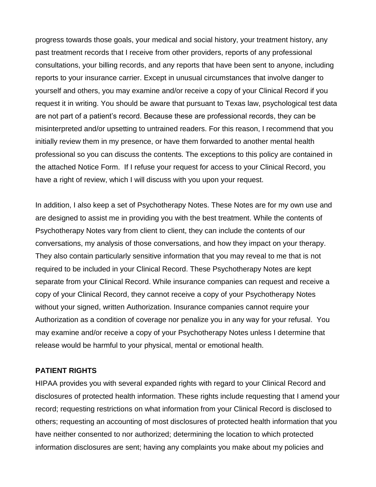progress towards those goals, your medical and social history, your treatment history, any past treatment records that I receive from other providers, reports of any professional consultations, your billing records, and any reports that have been sent to anyone, including reports to your insurance carrier. Except in unusual circumstances that involve danger to yourself and others, you may examine and/or receive a copy of your Clinical Record if you request it in writing. You should be aware that pursuant to Texas law, psychological test data are not part of a patient's record. Because these are professional records, they can be misinterpreted and/or upsetting to untrained readers. For this reason, I recommend that you initially review them in my presence, or have them forwarded to another mental health professional so you can discuss the contents. The exceptions to this policy are contained in the attached Notice Form. If I refuse your request for access to your Clinical Record, you have a right of review, which I will discuss with you upon your request.

In addition, I also keep a set of Psychotherapy Notes. These Notes are for my own use and are designed to assist me in providing you with the best treatment. While the contents of Psychotherapy Notes vary from client to client, they can include the contents of our conversations, my analysis of those conversations, and how they impact on your therapy. They also contain particularly sensitive information that you may reveal to me that is not required to be included in your Clinical Record. These Psychotherapy Notes are kept separate from your Clinical Record. While insurance companies can request and receive a copy of your Clinical Record, they cannot receive a copy of your Psychotherapy Notes without your signed, written Authorization. Insurance companies cannot require your Authorization as a condition of coverage nor penalize you in any way for your refusal. You may examine and/or receive a copy of your Psychotherapy Notes unless I determine that release would be harmful to your physical, mental or emotional health.

#### **PATIENT RIGHTS**

HIPAA provides you with several expanded rights with regard to your Clinical Record and disclosures of protected health information. These rights include requesting that I amend your record; requesting restrictions on what information from your Clinical Record is disclosed to others; requesting an accounting of most disclosures of protected health information that you have neither consented to nor authorized; determining the location to which protected information disclosures are sent; having any complaints you make about my policies and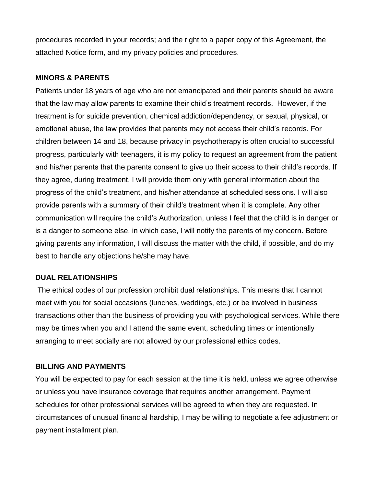procedures recorded in your records; and the right to a paper copy of this Agreement, the attached Notice form, and my privacy policies and procedures.

### **MINORS & PARENTS**

Patients under 18 years of age who are not emancipated and their parents should be aware that the law may allow parents to examine their child's treatment records. However, if the treatment is for suicide prevention, chemical addiction/dependency, or sexual, physical, or emotional abuse, the law provides that parents may not access their child's records. For children between 14 and 18, because privacy in psychotherapy is often crucial to successful progress, particularly with teenagers, it is my policy to request an agreement from the patient and his/her parents that the parents consent to give up their access to their child's records. If they agree, during treatment, I will provide them only with general information about the progress of the child's treatment, and his/her attendance at scheduled sessions. I will also provide parents with a summary of their child's treatment when it is complete. Any other communication will require the child's Authorization, unless I feel that the child is in danger or is a danger to someone else, in which case, I will notify the parents of my concern. Before giving parents any information, I will discuss the matter with the child, if possible, and do my best to handle any objections he/she may have.

## **DUAL RELATIONSHIPS**

The ethical codes of our profession prohibit dual relationships. This means that I cannot meet with you for social occasions (lunches, weddings, etc.) or be involved in business transactions other than the business of providing you with psychological services. While there may be times when you and I attend the same event, scheduling times or intentionally arranging to meet socially are not allowed by our professional ethics codes.

#### **BILLING AND PAYMENTS**

You will be expected to pay for each session at the time it is held, unless we agree otherwise or unless you have insurance coverage that requires another arrangement. Payment schedules for other professional services will be agreed to when they are requested. In circumstances of unusual financial hardship, I may be willing to negotiate a fee adjustment or payment installment plan.